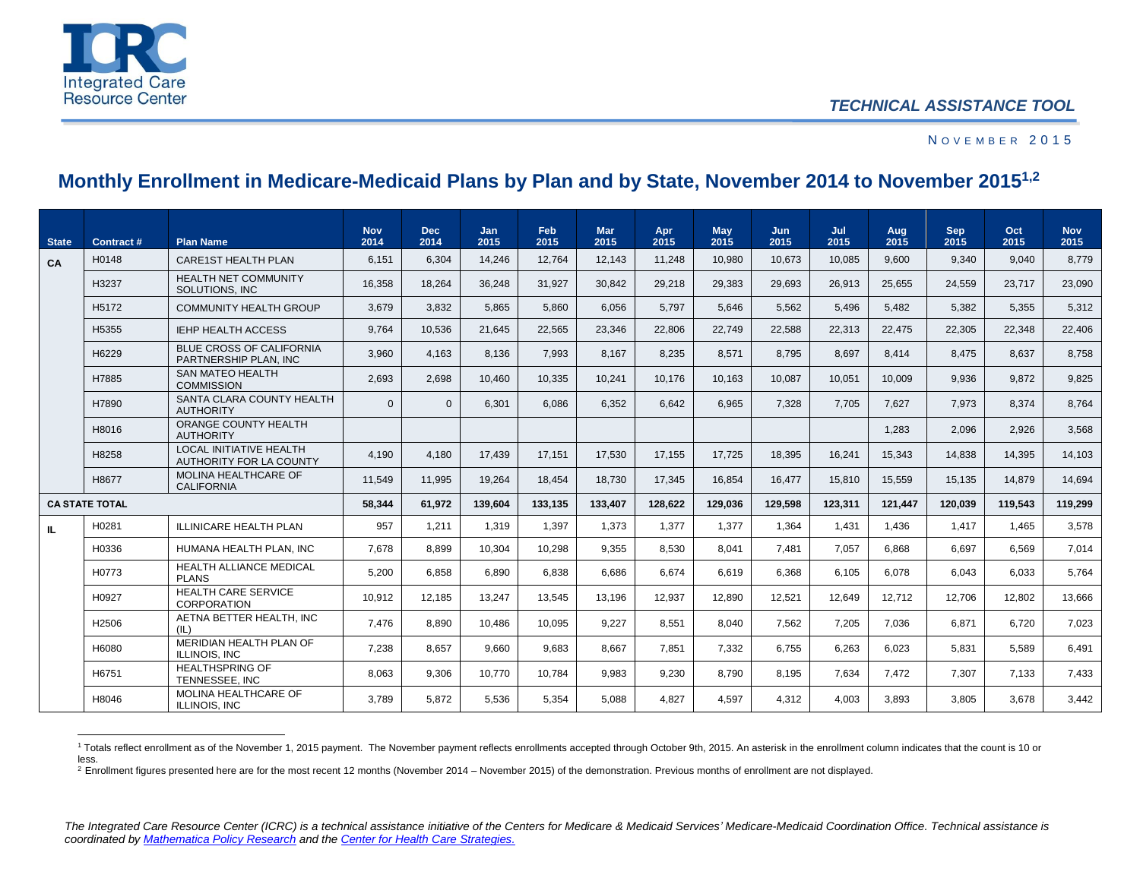

 $\overline{\phantom{a}}$ 

## N O V E M B E R 2015

## **Monthly Enrollment in Medicare-Medicaid Plans by Plan and by State, November 2014 to November 20151,2**

| <b>State</b> | Contract #            | <b>Plan Name</b>                                          | <b>Nov</b><br>2014 | <b>Dec</b><br>2014 | <b>Jan</b><br>2015 | Feb<br>2015 | <b>Mar</b><br>2015 | Apr<br>2015 | May<br>2015 | Jun.<br>2015 | Jul<br>2015 | Aug<br>2015 | <b>Sep</b><br>2015 | Oct<br>2015 | <b>Nov</b><br>2015 |
|--------------|-----------------------|-----------------------------------------------------------|--------------------|--------------------|--------------------|-------------|--------------------|-------------|-------------|--------------|-------------|-------------|--------------------|-------------|--------------------|
| CA           | H0148                 | <b>CARE1ST HEALTH PLAN</b>                                | 6,151              | 6,304              | 14.246             | 12.764      | 12.143             | 11.248      | 10.980      | 10.673       | 10.085      | 9.600       | 9.340              | 9.040       | 8,779              |
|              | H3237                 | <b>HEALTH NET COMMUNITY</b><br>SOLUTIONS. INC             | 16,358             | 18.264             | 36.248             | 31,927      | 30,842             | 29,218      | 29,383      | 29,693       | 26,913      | 25,655      | 24.559             | 23.717      | 23,090             |
|              | H <sub>5172</sub>     | <b>COMMUNITY HEALTH GROUP</b>                             | 3,679              | 3,832              | 5,865              | 5,860       | 6,056              | 5,797       | 5,646       | 5.562        | 5,496       | 5,482       | 5,382              | 5,355       | 5,312              |
|              | H5355                 | <b>IEHP HEALTH ACCESS</b>                                 | 9.764              | 10.536             | 21.645             | 22.565      | 23.346             | 22.806      | 22.749      | 22.588       | 22,313      | 22.475      | 22.305             | 22.348      | 22.406             |
|              | H6229                 | <b>BLUE CROSS OF CALIFORNIA</b><br>PARTNERSHIP PLAN. INC  | 3,960              | 4,163              | 8,136              | 7,993       | 8,167              | 8,235       | 8,571       | 8.795        | 8.697       | 8,414       | 8.475              | 8.637       | 8,758              |
|              | H7885                 | <b>SAN MATEO HEALTH</b><br><b>COMMISSION</b>              | 2,693              | 2,698              | 10,460             | 10,335      | 10,241             | 10,176      | 10,163      | 10,087       | 10,051      | 10,009      | 9.936              | 9.872       | 9,825              |
|              | H7890                 | SANTA CLARA COUNTY HEALTH<br><b>AUTHORITY</b>             | $\mathbf{0}$       | $\overline{0}$     | 6,301              | 6,086       | 6,352              | 6,642       | 6,965       | 7,328        | 7,705       | 7,627       | 7,973              | 8,374       | 8,764              |
|              | H8016                 | ORANGE COUNTY HEALTH<br><b>AUTHORITY</b>                  |                    |                    |                    |             |                    |             |             |              |             | 1.283       | 2.096              | 2.926       | 3.568              |
|              | H8258                 | <b>LOCAL INITIATIVE HEALTH</b><br>AUTHORITY FOR LA COUNTY | 4.190              | 4.180              | 17.439             | 17.151      | 17.530             | 17.155      | 17.725      | 18.395       | 16.241      | 15,343      | 14.838             | 14.395      | 14.103             |
|              | H8677                 | MOLINA HEALTHCARE OF<br><b>CALIFORNIA</b>                 | 11.549             | 11.995             | 19.264             | 18,454      | 18.730             | 17,345      | 16,854      | 16,477       | 15,810      | 15,559      | 15.135             | 14.879      | 14,694             |
|              | <b>CA STATE TOTAL</b> |                                                           | 58,344             | 61.972             | 139.604            | 133.135     | 133,407            | 128.622     | 129,036     | 129,598      | 123,311     | 121.447     | 120.039            | 119.543     | 119,299            |
| IL.          | H0281                 | <b>ILLINICARE HEALTH PLAN</b>                             | 957                | 1.211              | 1.319              | 1.397       | 1.373              | 1.377       | 1.377       | 1.364        | 1.431       | 1.436       | 1.417              | 1.465       | 3.578              |
|              | H0336                 | HUMANA HEALTH PLAN. INC                                   | 7.678              | 8.899              | 10.304             | 10.298      | 9.355              | 8.530       | 8.041       | 7.481        | 7.057       | 6.868       | 6.697              | 6.569       | 7.014              |
|              | H0773                 | <b>HEALTH ALLIANCE MEDICAL</b><br><b>PLANS</b>            | 5,200              | 6,858              | 6,890              | 6,838       | 6.686              | 6.674       | 6.619       | 6.368        | 6.105       | 6,078       | 6.043              | 6.033       | 5,764              |
|              | H0927                 | <b>HEALTH CARE SERVICE</b><br><b>CORPORATION</b>          | 10.912             | 12.185             | 13.247             | 13.545      | 13.196             | 12.937      | 12,890      | 12,521       | 12.649      | 12.712      | 12.706             | 12.802      | 13,666             |
|              | H2506                 | AETNA BETTER HEALTH. INC<br>(IL)                          | 7,476              | 8,890              | 10.486             | 10,095      | 9,227              | 8,551       | 8,040       | 7,562        | 7,205       | 7,036       | 6,871              | 6.720       | 7,023              |
|              | H6080                 | MERIDIAN HEALTH PLAN OF<br><b>ILLINOIS, INC</b>           | 7.238              | 8.657              | 9.660              | 9.683       | 8.667              | 7.851       | 7.332       | 6.755        | 6.263       | 6.023       | 5.831              | 5.589       | 6.491              |
|              | H6751                 | <b>HEALTHSPRING OF</b><br><b>TENNESSEE. INC</b>           | 8.063              | 9.306              | 10.770             | 10.784      | 9.983              | 9.230       | 8.790       | 8.195        | 7.634       | 7.472       | 7.307              | 7.133       | 7.433              |
|              | H8046                 | MOLINA HEALTHCARE OF<br>ILLINOIS, INC                     | 3.789              | 5.872              | 5.536              | 5.354       | 5.088              | 4.827       | 4.597       | 4.312        | 4.003       | 3.893       | 3.805              | 3.678       | 3.442              |

<sup>1</sup> Totals reflect enrollment as of the November 1, 2015 payment. The November payment reflects enrollments accepted through October 9th, 2015. An asterisk in the enrollment column indicates that the count is 10 or less.

<sup>&</sup>lt;sup>2</sup> Enrollment figures presented here are for the most recent 12 months (November 2014 – November 2015) of the demonstration. Previous months of enrollment are not displayed.

The Integrated Care Resource Center (ICRC) is a technical assistance initiative of the Centers for Medicare & Medicaid Services' Medicare-Medicaid Coordination Office. Technical assistance is *coordinated b[y Mathematica Policy Research](http://mathematica-mpr.com/About_Us/) and th[e Center for Health Care Strategies.](http://www.chcs.org/)*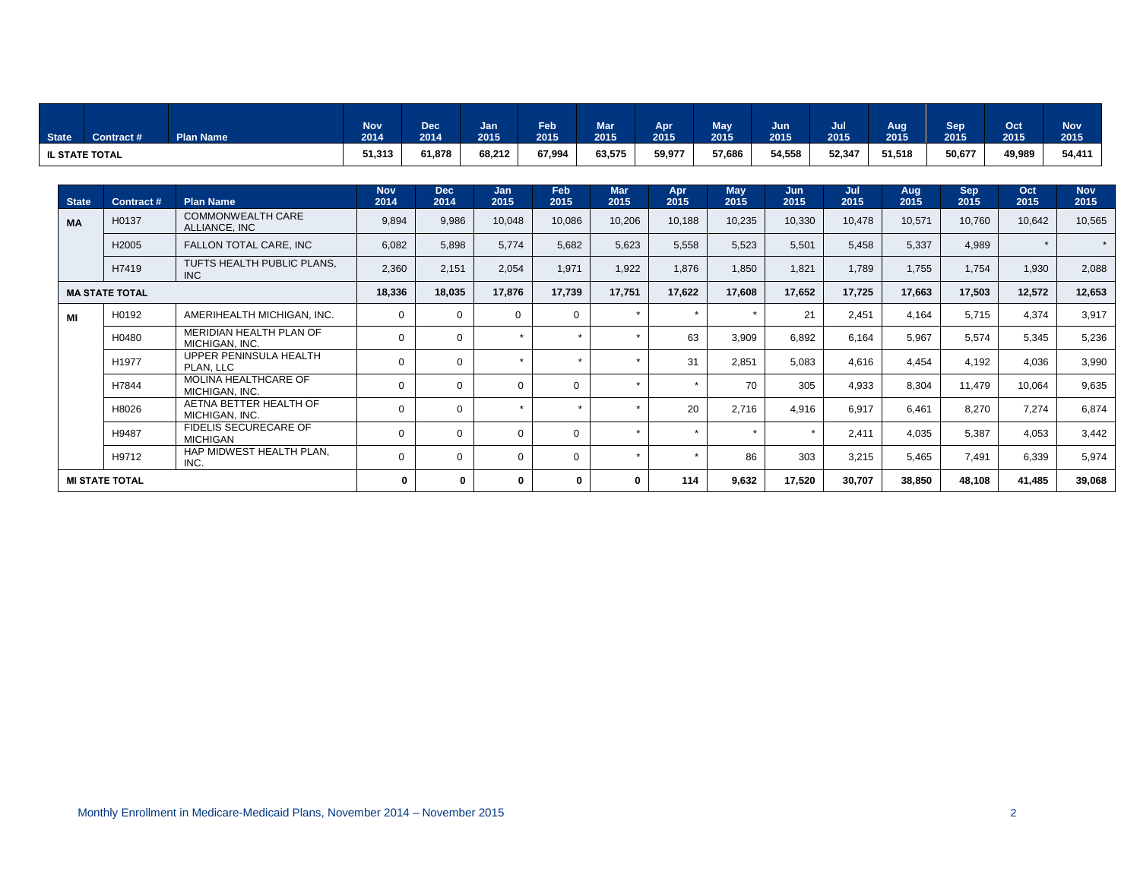| State <sup>1</sup>    | Contract # | <b>Plan Name</b> | <b>Nov</b><br>2014 | <b>Dec</b><br>2014 | Jan<br>2015 | Feb<br>2015 | <b>Mar</b><br>2015 | Apr<br>2015 | <b>May</b><br>2015 | Jun<br>2015 | Jul<br>2015 | Aug<br>2015 | Sep <sup>1</sup><br>2015 | Oct<br>2015 | <b>Nov</b><br>2015 |
|-----------------------|------------|------------------|--------------------|--------------------|-------------|-------------|--------------------|-------------|--------------------|-------------|-------------|-------------|--------------------------|-------------|--------------------|
| <b>IL STATE TOTAL</b> |            |                  | 51,313             | 61.878             | 68,212      | 67.994      | 63,575             | 59,977      | 57,686             | 54,558      | 52,347      | 51,518      | 50,677                   | 49,989      | 54,411             |

| <b>State</b>          | Contract#             | <b>Plan Name</b>                          | <b>Nov</b><br>2014 | <b>Dec</b><br>2014 | <b>Jan</b><br>2015 | Feb<br>2015  | <b>Mar</b><br>2015 | Apr<br>2015 | <b>May</b><br>2015 | Jun<br>2015 | Jul<br>2015 | Aug<br>2015 | <b>Sep</b><br>2015 | Oct<br>2015 | <b>Nov</b><br>2015 |
|-----------------------|-----------------------|-------------------------------------------|--------------------|--------------------|--------------------|--------------|--------------------|-------------|--------------------|-------------|-------------|-------------|--------------------|-------------|--------------------|
| <b>MA</b>             | H0137                 | <b>COMMONWEALTH CARE</b><br>ALLIANCE, INC | 9,894              | 9,986              | 10,048             | 10,086       | 10,206             | 10,188      | 10,235             | 10,330      | 10,478      | 10,571      | 10,760             | 10,642      | 10,565             |
|                       | H2005                 | FALLON TOTAL CARE, INC                    | 6,082              | 5,898              | 5,774              | 5,682        | 5,623              | 5,558       | 5,523              | 5,501       | 5,458       | 5,337       | 4,989              | $\star$     | $\star$            |
|                       | H7419                 | TUFTS HEALTH PUBLIC PLANS,<br>INC.        | 2,360              | 2,151              | 2,054              | 1,971        | 1,922              | 1,876       | 1,850              | 1.821       | 1.789       | 1.755       | 1.754              | 1,930       | 2,088              |
|                       | <b>MA STATE TOTAL</b> |                                           | 18,336             | 18,035             | 17,876             | 17,739       | 17,751             | 17,622      | 17,608             | 17,652      | 17,725      | 17,663      | 17,503             | 12,572      | 12,653             |
| MI                    | H0192                 | AMERIHEALTH MICHIGAN, INC.                | $\mathbf 0$        | $\Omega$           | $\Omega$           | $\Omega$     |                    | $\star$     | $\star$            | 21          | 2,451       | 4.164       | 5.715              | 4,374       | 3,917              |
|                       | H0480                 | MERIDIAN HEALTH PLAN OF<br>MICHIGAN, INC. | 0                  | $\mathbf{0}$       |                    |              |                    | 63          | 3,909              | 6,892       | 6,164       | 5,967       | 5,574              | 5,345       | 5,236              |
|                       | H1977                 | UPPER PENINSULA HEALTH<br>PLAN, LLC       | 0                  | $\mathbf 0$        |                    |              |                    | 31          | 2,851              | 5,083       | 4,616       | 4,454       | 4,192              | 4,036       | 3,990              |
|                       | H7844                 | MOLINA HEALTHCARE OF<br>MICHIGAN, INC.    | 0                  | $\Omega$           |                    | $\Omega$     |                    | $\star$     | 70                 | 305         | 4,933       | 8,304       | 11.479             | 10.064      | 9,635              |
|                       | H8026                 | AETNA BETTER HEALTH OF<br>MICHIGAN, INC.  | 0                  | $\Omega$           |                    | $\mathbf{r}$ |                    | 20          | 2,716              | 4,916       | 6,917       | 6.461       | 8,270              | 7,274       | 6,874              |
|                       | H9487                 | FIDELIS SECURECARE OF<br><b>MICHIGAN</b>  | $\mathbf 0$        | $\Omega$           |                    | $\Omega$     |                    | $\star$     | $\star$            |             | 2,411       | 4.035       | 5,387              | 4,053       | 3,442              |
|                       | H9712                 | HAP MIDWEST HEALTH PLAN,<br>INC.          | $\mathbf 0$        | $\Omega$           |                    | $\Omega$     |                    | $\star$     | 86                 | 303         | 3,215       | 5.465       | 7.491              | 6,339       | 5,974              |
| <b>MI STATE TOTAL</b> |                       | $\bf{0}$                                  | $\Omega$           | 0                  |                    |              | 114                | 9,632       | 17,520             | 30,707      | 38,850      | 48,108      | 41,485             | 39,068      |                    |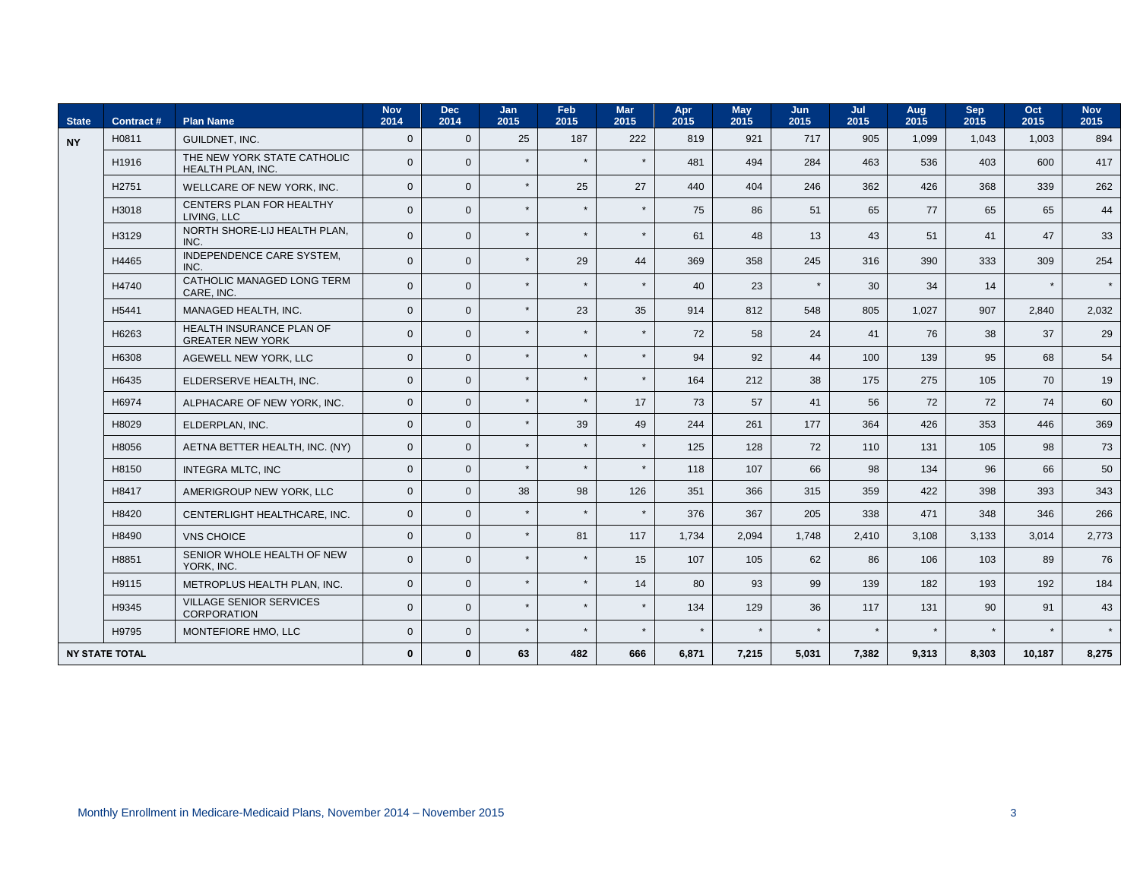| <b>State</b>          | Contract# | <b>Plan Name</b>                                     | <b>Nov</b><br>2014 | <b>Dec</b><br>2014 | Jan<br>2015 | Feb<br>2015 | Mar<br>2015 | Apr<br>2015 | <b>May</b><br>2015 | Jun<br>2015 | Jul<br>2015 | Aug<br>2015 | <b>Sep</b><br>2015 | Oct<br>2015 | <b>Nov</b><br>2015 |
|-----------------------|-----------|------------------------------------------------------|--------------------|--------------------|-------------|-------------|-------------|-------------|--------------------|-------------|-------------|-------------|--------------------|-------------|--------------------|
| <b>NY</b>             | H0811     | <b>GUILDNET. INC.</b>                                | $\overline{0}$     | $\mathbf{0}$       | 25          | 187         | 222         | 819         | 921                | 717         | 905         | 1.099       | 1.043              | 1.003       | 894                |
|                       | H1916     | THE NEW YORK STATE CATHOLIC<br>HEALTH PLAN, INC.     | $\mathbf{0}$       | $\mathbf{0}$       | $\star$     |             |             | 481         | 494                | 284         | 463         | 536         | 403                | 600         | 417                |
|                       | H2751     | WELLCARE OF NEW YORK, INC.                           | $\mathbf{0}$       | $\Omega$           | $\star$     | 25          | 27          | 440         | 404                | 246         | 362         | 426         | 368                | 339         | 262                |
|                       | H3018     | CENTERS PLAN FOR HEALTHY<br>LIVING. LLC              | $\overline{0}$     | $\Omega$           | $\star$     | $\star$     |             | 75          | 86                 | 51          | 65          | 77          | 65                 | 65          | 44                 |
|                       | H3129     | NORTH SHORE-LIJ HEALTH PLAN.<br>INC.                 | $\mathbf{0}$       | $\Omega$           | $\star$     | $\star$     |             | 61          | 48                 | 13          | 43          | 51          | 41                 | 47          | 33                 |
|                       | H4465     | <b>INDEPENDENCE CARE SYSTEM.</b><br>INC.             | $\mathbf{0}$       | $\Omega$           | $\star$     | 29          | 44          | 369         | 358                | 245         | 316         | 390         | 333                | 309         | 254                |
|                       | H4740     | CATHOLIC MANAGED LONG TERM<br>CARE, INC.             | $\mathbf{0}$       | $\mathbf{0}$       | $\star$     | $\star$     |             | 40          | 23                 | $\star$     | 30          | 34          | 14                 |             | $\star$            |
|                       | H5441     | MANAGED HEALTH, INC.                                 | $\mathbf{0}$       | $\mathbf{0}$       | $\star$     | 23          | 35          | 914         | 812                | 548         | 805         | 1.027       | 907                | 2.840       | 2,032              |
|                       | H6263     | HEALTH INSURANCE PLAN OF<br><b>GREATER NEW YORK</b>  | $\mathbf{0}$       | $\Omega$           | $\star$     |             |             | 72          | 58                 | 24          | 41          | 76          | 38                 | 37          | 29                 |
|                       | H6308     | AGEWELL NEW YORK. LLC                                | $\overline{0}$     | $\Omega$           | $\star$     | $\star$     | $\star$     | 94          | 92                 | 44          | 100         | 139         | 95                 | 68          | 54                 |
|                       | H6435     | ELDERSERVE HEALTH, INC.                              | $\mathbf{0}$       | $\Omega$           | $\star$     | $\star$     | $\bullet$   | 164         | 212                | 38          | 175         | 275         | 105                | 70          | 19                 |
|                       | H6974     | ALPHACARE OF NEW YORK, INC.                          | $\mathbf{0}$       | $\Omega$           | $\star$     | $\star$     | 17          | 73          | 57                 | 41          | 56          | 72          | 72                 | 74          | 60                 |
|                       | H8029     | ELDERPLAN. INC.                                      | $\mathbf{0}$       | $\mathbf{0}$       | $\star$     | 39          | 49          | 244         | 261                | 177         | 364         | 426         | 353                | 446         | 369                |
|                       | H8056     | AETNA BETTER HEALTH, INC. (NY)                       | $\mathbf{0}$       | $\Omega$           | $\star$     | $\star$     | $\star$     | 125         | 128                | 72          | 110         | 131         | 105                | 98          | 73                 |
|                       | H8150     | INTEGRA MLTC, INC                                    | $\mathbf{0}$       | $\mathbf{0}$       | $\star$     | $\star$     | $\bullet$   | 118         | 107                | 66          | 98          | 134         | 96                 | 66          | 50                 |
|                       | H8417     | AMERIGROUP NEW YORK, LLC                             | $\overline{0}$     | $\mathbf{0}$       | 38          | 98          | 126         | 351         | 366                | 315         | 359         | 422         | 398                | 393         | 343                |
|                       | H8420     | CENTERLIGHT HEALTHCARE. INC.                         | $\overline{0}$     | $\Omega$           | $\star$     | $\star$     | $\star$     | 376         | 367                | 205         | 338         | 471         | 348                | 346         | 266                |
|                       | H8490     | <b>VNS CHOICE</b>                                    | $\overline{0}$     | $\Omega$           | $\star$     | 81          | 117         | 1,734       | 2,094              | 1,748       | 2,410       | 3,108       | 3,133              | 3.014       | 2,773              |
|                       | H8851     | SENIOR WHOLE HEALTH OF NEW<br>YORK, INC.             | $\mathbf{0}$       | $\Omega$           | $\star$     | $\star$     | 15          | 107         | 105                | 62          | 86          | 106         | 103                | 89          | 76                 |
|                       | H9115     | METROPLUS HEALTH PLAN, INC.                          | $\Omega$           | $\Omega$           | $\star$     | $\star$     | 14          | 80          | 93                 | 99          | 139         | 182         | 193                | 192         | 184                |
|                       | H9345     | <b>VILLAGE SENIOR SERVICES</b><br><b>CORPORATION</b> | $\overline{0}$     | $\mathbf{0}$       | $\star$     |             |             | 134         | 129                | 36          | 117         | 131         | 90                 | 91          | 43                 |
|                       | H9795     | MONTEFIORE HMO, LLC                                  | $\mathbf{0}$       | $\mathbf{0}$       | $\star$     | $\star$     | $\bullet$   | $\star$     | $\star$            | $\star$     | $\star$     |             |                    |             | $\star$            |
| <b>NY STATE TOTAL</b> |           |                                                      | $\mathbf 0$        | $\mathbf{0}$       | 63          | 482         | 666         | 6,871       | 7,215              | 5,031       | 7,382       | 9,313       | 8,303              | 10,187      | 8,275              |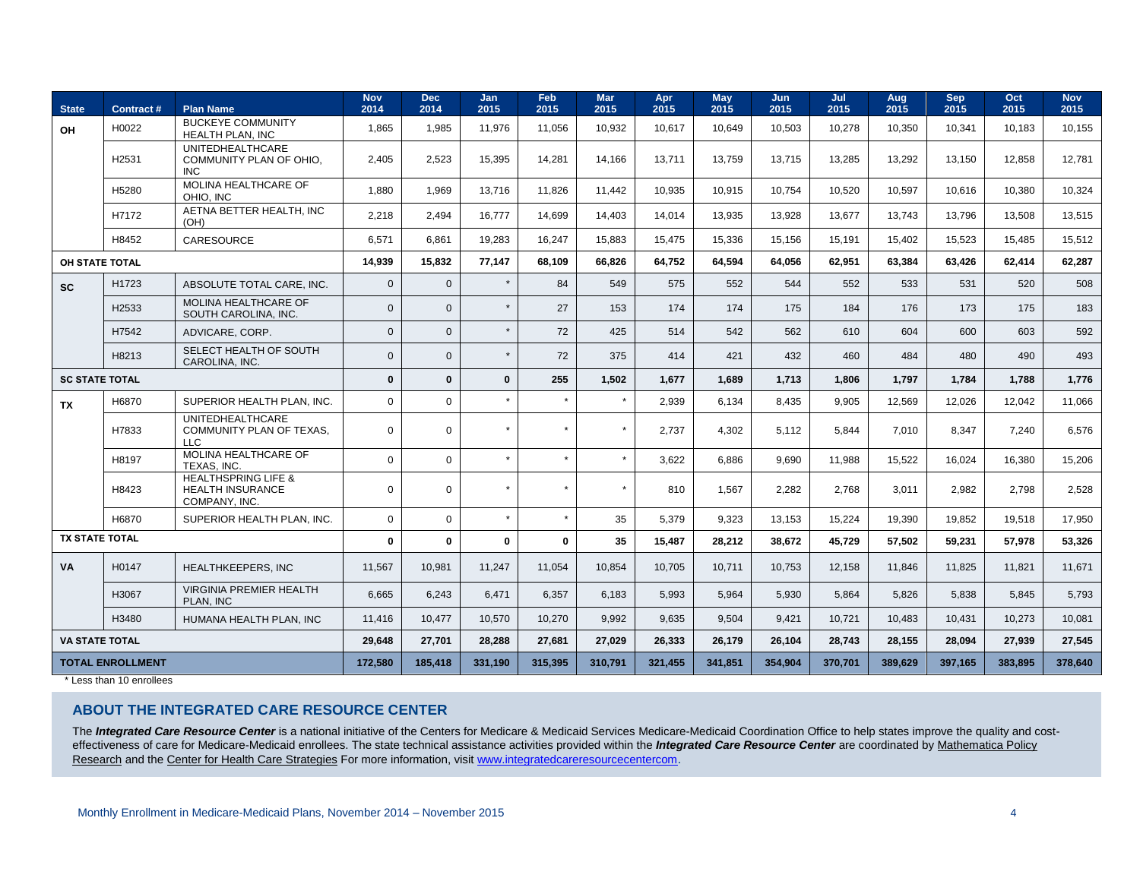| <b>State</b>            | Contract# | <b>Plan Name</b>                                                           | <b>Nov</b><br>2014 | Dec<br>2014  | <b>Jan</b><br>2015 | Feb<br>2015 | <b>Mar</b><br>2015 | Apr<br>2015 | May<br>2015 | Jun<br>2015 | Jul<br>2015 | Aug<br>2015 | <b>Sep</b><br>2015 | Oct<br>2015 | <b>Nov</b><br>2015 |
|-------------------------|-----------|----------------------------------------------------------------------------|--------------------|--------------|--------------------|-------------|--------------------|-------------|-------------|-------------|-------------|-------------|--------------------|-------------|--------------------|
| OH                      | H0022     | <b>BUCKEYE COMMUNITY</b><br>HEALTH PLAN, INC                               | 1,865              | 1,985        | 11,976             | 11,056      | 10,932             | 10.617      | 10.649      | 10,503      | 10,278      | 10,350      | 10,341             | 10.183      | 10.155             |
|                         | H2531     | <b>UNITEDHEALTHCARE</b><br>COMMUNITY PLAN OF OHIO,<br><b>INC</b>           | 2.405              | 2.523        | 15.395             | 14,281      | 14.166             | 13.711      | 13.759      | 13,715      | 13,285      | 13,292      | 13.150             | 12.858      | 12.781             |
|                         | H5280     | MOLINA HEALTHCARE OF<br>OHIO. INC                                          | 1.880              | 1.969        | 13.716             | 11,826      | 11,442             | 10,935      | 10.915      | 10,754      | 10,520      | 10,597      | 10.616             | 10,380      | 10,324             |
|                         | H7172     | AETNA BETTER HEALTH. INC<br>(OH)                                           | 2.218              | 2.494        | 16.777             | 14,699      | 14,403             | 14.014      | 13.935      | 13,928      | 13,677      | 13.743      | 13.796             | 13.508      | 13,515             |
|                         | H8452     | <b>CARESOURCE</b>                                                          | 6,571              | 6,861        | 19,283             | 16,247      | 15,883             | 15,475      | 15,336      | 15,156      | 15,191      | 15,402      | 15,523             | 15,485      | 15,512             |
| OH STATE TOTAL          |           |                                                                            | 14,939             | 15,832       | 77,147             | 68,109      | 66,826             | 64,752      | 64,594      | 64,056      | 62,951      | 63,384      | 63,426             | 62.414      | 62,287             |
| <b>SC</b>               | H1723     | ABSOLUTE TOTAL CARE. INC.                                                  | $\overline{0}$     | $\mathbf{0}$ | $\star$            | 84          | 549                | 575         | 552         | 544         | 552         | 533         | 531                | 520         | 508                |
|                         | H2533     | MOLINA HEALTHCARE OF<br>SOUTH CAROLINA, INC.                               | $\mathbf{0}$       | $\mathbf{0}$ | $\star$            | 27          | 153                | 174         | 174         | 175         | 184         | 176         | 173                | 175         | 183                |
|                         | H7542     | ADVICARE, CORP.                                                            | $\mathbf 0$        | $\mathsf 0$  | $\star$            | 72          | 425                | 514         | 542         | 562         | 610         | 604         | 600                | 603         | 592                |
|                         | H8213     | SELECT HEALTH OF SOUTH<br>CAROLINA, INC.                                   | $\mathbf{0}$       | $\mathbf{0}$ | $\star$            | 72          | 375                | 414         | 421         | 432         | 460         | 484         | 480                | 490         | 493                |
| <b>SC STATE TOTAL</b>   |           |                                                                            | $\mathbf{0}$       | $\mathbf{0}$ | $\mathbf{0}$       | 255         | 1,502              | 1,677       | 1.689       | 1,713       | 1.806       | 1.797       | 1.784              | 1.788       | 1.776              |
| TX                      | H6870     | SUPERIOR HEALTH PLAN, INC.                                                 | $\mathbf 0$        | $\mathbf 0$  | $\star$            | $\star$     | $\star$            | 2,939       | 6,134       | 8.435       | 9.905       | 12,569      | 12,026             | 12,042      | 11,066             |
|                         | H7833     | <b>UNITEDHEALTHCARE</b><br>COMMUNITY PLAN OF TEXAS.<br>LLC.                | $\mathbf 0$        | $\mathbf 0$  | $\star$            |             | $\star$            | 2.737       | 4.302       | 5.112       | 5.844       | 7.010       | 8.347              | 7.240       | 6,576              |
|                         | H8197     | MOLINA HEALTHCARE OF<br>TEXAS. INC.                                        | $\mathbf 0$        | $\mathsf 0$  | $\star$            |             | $\star$            | 3,622       | 6,886       | 9,690       | 11,988      | 15,522      | 16,024             | 16,380      | 15,206             |
|                         | H8423     | <b>HEALTHSPRING LIFE &amp;</b><br><b>HEALTH INSURANCE</b><br>COMPANY, INC. | $\mathbf 0$        | $\mathbf 0$  | $\star$            | $\star$     | $\star$            | 810         | 1,567       | 2,282       | 2,768       | 3.011       | 2,982              | 2,798       | 2,528              |
|                         | H6870     | SUPERIOR HEALTH PLAN. INC.                                                 | $\mathbf 0$        | $\mathbf 0$  | $\star$            | $\star$     | 35                 | 5,379       | 9,323       | 13,153      | 15,224      | 19.390      | 19.852             | 19.518      | 17,950             |
| <b>TX STATE TOTAL</b>   |           |                                                                            | $\mathbf{0}$       | 0            | $\mathbf 0$        | $\mathbf 0$ | 35                 | 15,487      | 28,212      | 38,672      | 45,729      | 57,502      | 59,231             | 57,978      | 53,326             |
| <b>VA</b>               | H0147     | HEALTHKEEPERS, INC                                                         | 11,567             | 10,981       | 11,247             | 11,054      | 10,854             | 10,705      | 10,711      | 10,753      | 12,158      | 11,846      | 11,825             | 11,821      | 11,671             |
|                         | H3067     | VIRGINIA PREMIER HEALTH<br>PLAN, INC                                       | 6,665              | 6,243        | 6,471              | 6,357       | 6,183              | 5,993       | 5,964       | 5,930       | 5,864       | 5,826       | 5,838              | 5,845       | 5,793              |
|                         | H3480     | HUMANA HEALTH PLAN, INC                                                    | 11.416             | 10.477       | 10.570             | 10,270      | 9,992              | 9,635       | 9,504       | 9,421       | 10,721      | 10.483      | 10.431             | 10.273      | 10,081             |
| <b>VA STATE TOTAL</b>   |           |                                                                            | 29,648             | 27,701       | 28,288             | 27,681      | 27,029             | 26,333      | 26,179      | 26,104      | 28,743      | 28,155      | 28,094             | 27,939      | 27,545             |
| <b>TOTAL ENROLLMENT</b> |           |                                                                            | 172,580            | 185,418      | 331,190            | 315,395     | 310,791            | 321,455     | 341,851     | 354.904     | 370,701     | 389.629     | 397.165            | 383.895     | 378,640            |

\* Less than 10 enrollees

## **ABOUT THE INTEGRATED CARE RESOURCE CENTER**

The *Integrated Care Resource Center* is a national initiative of the Centers for Medicare & Medicaid Services Medicare-Medicaid Coordination Office to help states improve the quality and costeffectiveness of care for Medicare-Medicaid enrollees. The state technical assistance activities provided within the *Integrated Care Resource Center* are coordinated b[y Mathematica Policy](http://mathematica-mpr.com/About_Us/)  [Research](http://mathematica-mpr.com/About_Us/) and the [Center for Health Care Strategies](http://www.chcs.org/) For more information, visi[t www.integratedcareresourcecentercom](http://www.integratedcareresourcecentercom/).